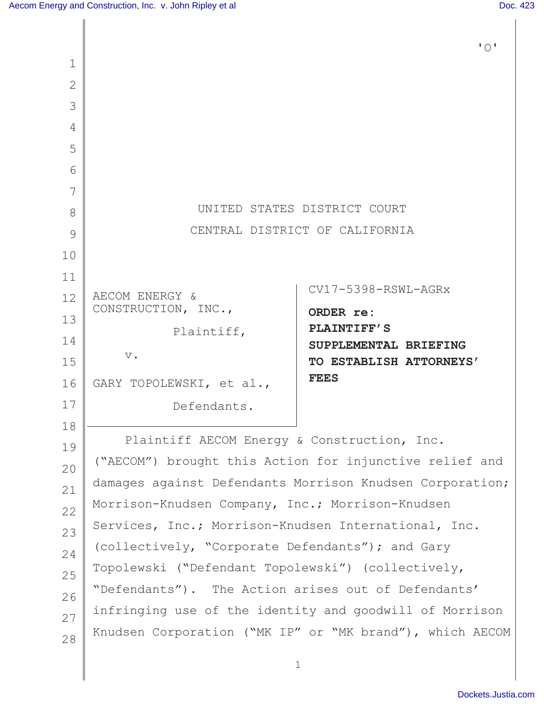|                |                                                                                                                     | $\mathbf{I} \cap \mathbf{I}$                             |  |  |  |
|----------------|---------------------------------------------------------------------------------------------------------------------|----------------------------------------------------------|--|--|--|
| $\mathbf 1$    |                                                                                                                     |                                                          |  |  |  |
| $\overline{2}$ |                                                                                                                     |                                                          |  |  |  |
| 3              |                                                                                                                     |                                                          |  |  |  |
| 4              |                                                                                                                     |                                                          |  |  |  |
| 5              |                                                                                                                     |                                                          |  |  |  |
| 6              |                                                                                                                     |                                                          |  |  |  |
| 7              |                                                                                                                     |                                                          |  |  |  |
| 8              | UNITED STATES DISTRICT COURT                                                                                        |                                                          |  |  |  |
| 9              |                                                                                                                     | CENTRAL DISTRICT OF CALIFORNIA                           |  |  |  |
| 10             |                                                                                                                     |                                                          |  |  |  |
| 11             |                                                                                                                     | $CV17 - 5398 - RSWL - AGRx$                              |  |  |  |
| 12             | AECOM ENERGY &<br>CONSTRUCTION, INC.,                                                                               |                                                          |  |  |  |
| 13             | Plaintiff,                                                                                                          | ORDER re:<br><b>PLAINTIFF'S</b>                          |  |  |  |
| 14             |                                                                                                                     | SUPPLEMENTAL BRIEFING                                    |  |  |  |
| 15             | $V$ .                                                                                                               | TO ESTABLISH ATTORNEYS'                                  |  |  |  |
| 16             | GARY TOPOLEWSKI, et al.,                                                                                            | <b>FEES</b>                                              |  |  |  |
| 17             | Defendants.                                                                                                         |                                                          |  |  |  |
| 18             |                                                                                                                     |                                                          |  |  |  |
| 19             | Plaintiff AECOM Energy & Construction, Inc.                                                                         |                                                          |  |  |  |
| 20             | ("AECOM") brought this Action for injunctive relief and                                                             |                                                          |  |  |  |
| 21             |                                                                                                                     | damages against Defendants Morrison Knudsen Corporation; |  |  |  |
| 22             | Morrison-Knudsen Company, Inc.; Morrison-Knudsen                                                                    |                                                          |  |  |  |
| 23             | Services, Inc.; Morrison-Knudsen International, Inc.                                                                |                                                          |  |  |  |
| 24             | (collectively, "Corporate Defendants"); and Gary                                                                    |                                                          |  |  |  |
| 25             | Topolewski ("Defendant Topolewski") (collectively,                                                                  |                                                          |  |  |  |
| 26             | "Defendants"). The Action arises out of Defendants'                                                                 |                                                          |  |  |  |
| 27             | infringing use of the identity and goodwill of Morrison<br>Knudsen Corporation ("MK IP" or "MK brand"), which AECOM |                                                          |  |  |  |
| 28             |                                                                                                                     |                                                          |  |  |  |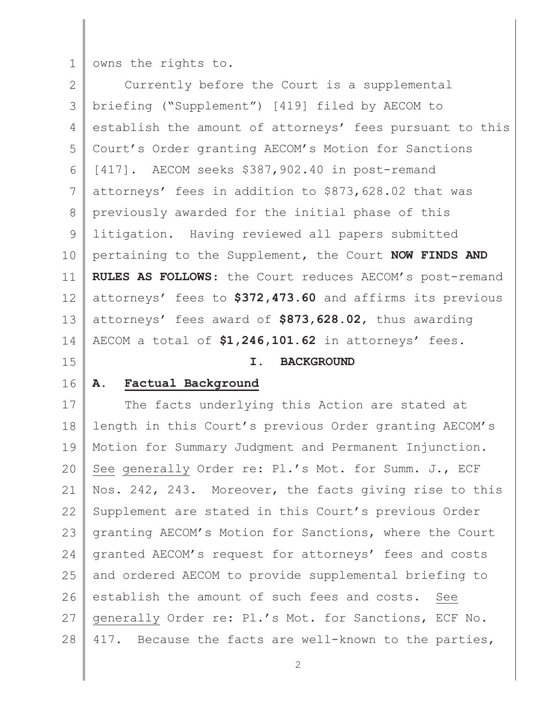1 owns the rights to.

2 3 4 5 6 7 8 9 10 11 12 13 14  $\mathbb{R}$ Currently before the Court is a supplemental briefing ("Supplement") [419] filed by AECOM to establish the amount of attorneys' fees pursuant to this Court's Order granting AECOM's Motion for Sanctions [417]. AECOM seeks \$387,902.40 in post-remand attorneys' fees in addition to \$873,628.02 that was previously awarded for the initial phase of this litigation. Having reviewed all papers submitted pertaining to the Supplement, the Court **NOW FINDS AND RULES AS FOLLOWS**: the Court reduces AECOM's post-remand attorneys' fees to **\$372,473.60** and affirms its previous attorneys' fees award of **\$873,628.02**, thus awarding AECOM a total of **\$1,246,101.62** in attorneys' fees.

# 15

### **I. BACKGROUND**

## 16

## **A. Factual Background**

17 18 19 20 21 22 23 24 25 26 27 28 The facts underlying this Action are stated at length in this Court's previous Order granting AECOM's Motion for Summary Judgment and Permanent Injunction. See generally Order re: Pl.'s Mot. for Summ. J., ECF Nos. 242, 243. Moreover, the facts giving rise to this Supplement are stated in this Court's previous Order granting AECOM's Motion for Sanctions, where the Court granted AECOM's request for attorneys' fees and costs and ordered AECOM to provide supplemental briefing to establish the amount of such fees and costs. See generally Order re: Pl.'s Mot. for Sanctions, ECF No. 417. Because the facts are well-known to the parties,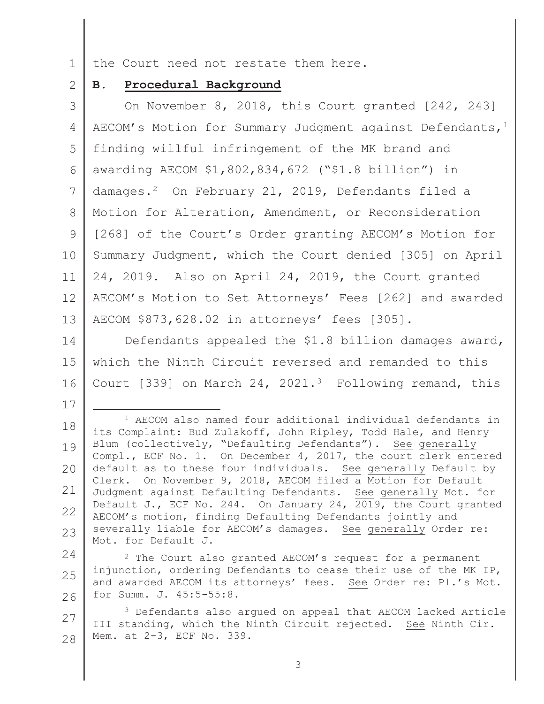1 the Court need not restate them here.

#### 2 **B. Procedural Background**

17

3 4 5 6 7 8 9 10 11 12 13 On November 8, 2018, this Court granted [242, 243] AECOM's Motion for Summary Judgment against Defendants,  $1$ finding willful infringement of the MK brand and awarding AECOM \$1,802,834,672 ("\$1.8 billion") in damages.<sup>2</sup> On February 21, 2019, Defendants filed a Motion for Alteration, Amendment, or Reconsideration [268] of the Court's Order granting AECOM's Motion for Summary Judgment, which the Court denied [305] on April 24, 2019. Also on April 24, 2019, the Court granted AECOM's Motion to Set Attorneys' Fees [262] and awarded AECOM \$873,628.02 in attorneys' fees [305].

14 15 16 Defendants appealed the \$1.8 billion damages award, which the Ninth Circuit reversed and remanded to this Court [339] on March 24, 2021.<sup>3</sup> Following remand, this

18 19 20 21 22 23 <sup>1</sup> AECOM also named four additional individual defendants in its Complaint: Bud Zulakoff, John Ripley, Todd Hale, and Henry Blum (collectively, "Defaulting Defendants"). See generally Compl., ECF No. 1. On December 4, 2017, the court clerk entered default as to these four individuals. See generally Default by Clerk. On November 9, 2018, AECOM filed a Motion for Default Judgment against Defaulting Defendants. See generally Mot. for Default J., ECF No. 244. On January 24, 2019, the Court granted AECOM's motion, finding Defaulting Defendants jointly and severally liable for AECOM's damages. See generally Order re: Mot. for Default J.

24 25 26 <sup>2</sup> The Court also granted AECOM's request for a permanent injunction, ordering Defendants to cease their use of the MK IP, and awarded AECOM its attorneys' fees. See Order re: Pl.'s Mot. for Summ. J. 45:5-55:8.

27 28 <sup>3</sup> Defendants also argued on appeal that AECOM lacked Article III standing, which the Ninth Circuit rejected. See Ninth Cir. Mem. at 2-3, ECF No. 339.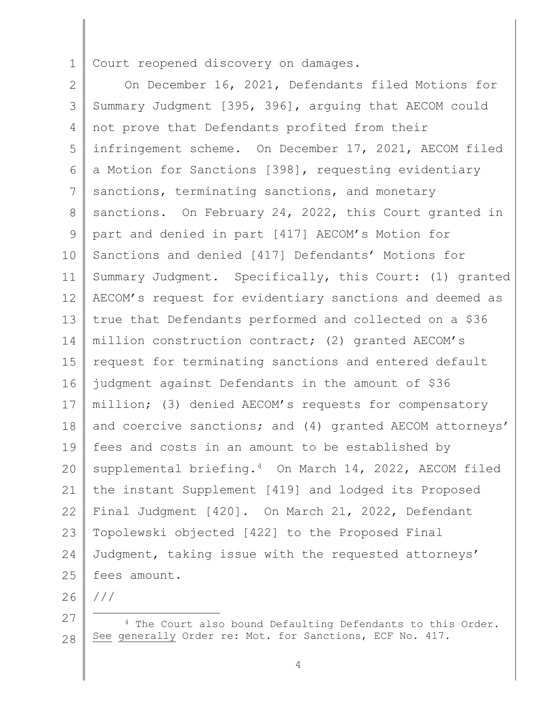1 Court reopened discovery on damages.

2 3 4 5 6 7 8 9 10 11 12 13 14 15 16 17 18 19 20 21 22 23 24 25  $\mathbb{R}$ On December 16, 2021, Defendants filed Motions for Summary Judgment [395, 396], arguing that AECOM could not prove that Defendants profited from their infringement scheme. On December 17, 2021, AECOM filed a Motion for Sanctions [398], requesting evidentiary sanctions, terminating sanctions, and monetary sanctions. On February 24, 2022, this Court granted in part and denied in part [417] AECOM's Motion for Sanctions and denied [417] Defendants' Motions for Summary Judgment. Specifically, this Court: (1) granted AECOM's request for evidentiary sanctions and deemed as true that Defendants performed and collected on a \$36 million construction contract; (2) granted AECOM's request for terminating sanctions and entered default judgment against Defendants in the amount of \$36 million; (3) denied AECOM's requests for compensatory and coercive sanctions; and (4) granted AECOM attorneys' fees and costs in an amount to be established by supplemental briefing.<sup>4</sup> On March 14, 2022, AECOM filed the instant Supplement [419] and lodged its Proposed Final Judgment [420]. On March 21, 2022, Defendant Topolewski objected [422] to the Proposed Final Judgment, taking issue with the requested attorneys' fees amount.

26

///

<sup>27</sup>  28 <sup>4</sup> The Court also bound Defaulting Defendants to this Order. See generally Order re: Mot. for Sanctions, ECF No. 417.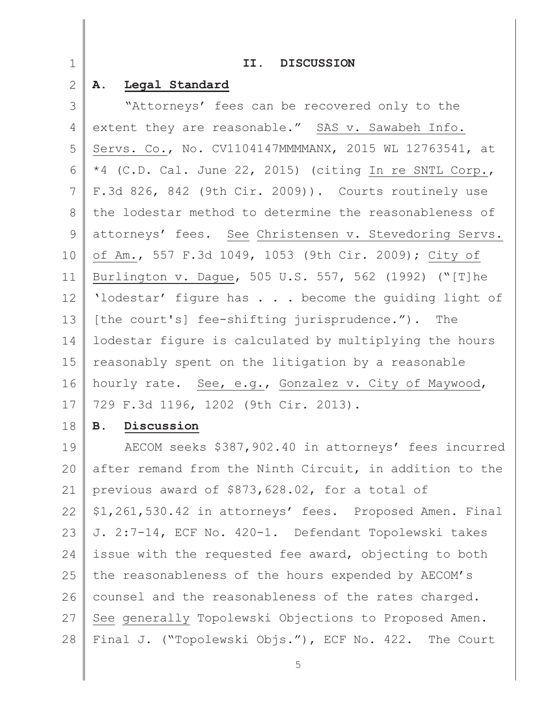| $\mathbf 1$   | II. DISCUSSION                                          |
|---------------|---------------------------------------------------------|
| $\mathbf{2}$  | Legal Standard<br>Α.                                    |
| 3             | "Attorneys' fees can be recovered only to the           |
| 4             | extent they are reasonable." SAS v. Sawabeh Info.       |
| 5             | Servs. Co., No. CV1104147MMMMANX, 2015 WL 12763541, at  |
| 6             | *4 (C.D. Cal. June 22, 2015) (citing In re SNTL Corp.,  |
| 7             | F.3d 826, 842 (9th Cir. 2009)). Courts routinely use    |
| 8             | the lodestar method to determine the reasonableness of  |
| $\mathcal{G}$ | attorneys' fees. See Christensen v. Stevedoring Servs.  |
| 10            | of Am., 557 F.3d 1049, 1053 (9th Cir. 2009); City of    |
| 11            | Burlington v. Dague, 505 U.S. 557, 562 (1992) ("[T]he   |
| 12            | 'lodestar' figure has become the guiding light of       |
| 13            | [the court's] fee-shifting jurisprudence."). The        |
| 14            | lodestar figure is calculated by multiplying the hours  |
| 15            | reasonably spent on the litigation by a reasonable      |
| 16            | hourly rate. See, e.g., Gonzalez v. City of Maywood,    |
| 17            | 729 F.3d 1196, 1202 (9th Cir. 2013).                    |
| 18            | Discussion<br><b>B.</b>                                 |
| 19            | AECOM seeks \$387,902.40 in attorneys' fees incurred    |
| 20            | after remand from the Ninth Circuit, in addition to the |
| 21            | previous award of \$873,628.02, for a total of          |
| 22            | \$1,261,530.42 in attorneys' fees. Proposed Amen. Final |
| 23            | J. 2:7-14, ECF No. 420-1. Defendant Topolewski takes    |
| 24            | issue with the requested fee award, objecting to both   |
| 25            | the reasonableness of the hours expended by AECOM's     |
| 26            | counsel and the reasonableness of the rates charged.    |
| 27            | See generally Topolewski Objections to Proposed Amen.   |
| 28            | Final J. ("Topolewski Objs."), ECF No. 422. The Court   |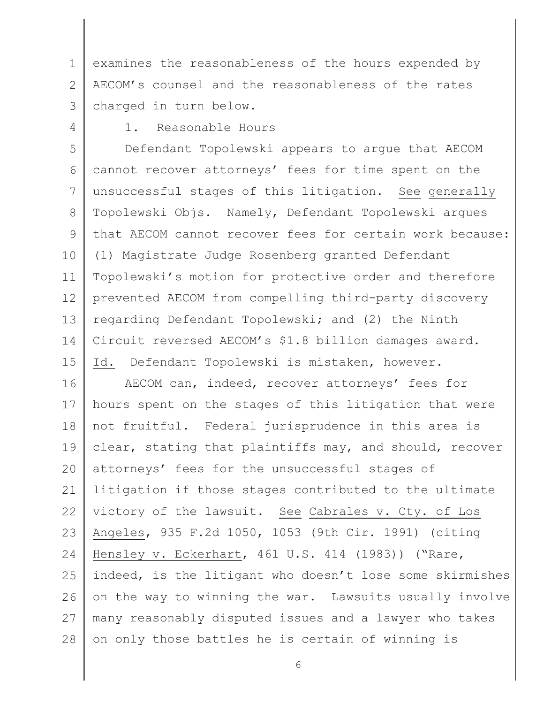1 2 3  $\mathbb{R}$ examines the reasonableness of the hours expended by AECOM's counsel and the reasonableness of the rates charged in turn below.

4

# 1. Reasonable Hours

5 6 7 8 9 10 11 12 13 14 15 Defendant Topolewski appears to argue that AECOM cannot recover attorneys' fees for time spent on the unsuccessful stages of this litigation. See generally Topolewski Objs. Namely, Defendant Topolewski argues that AECOM cannot recover fees for certain work because: (1) Magistrate Judge Rosenberg granted Defendant Topolewski's motion for protective order and therefore prevented AECOM from compelling third-party discovery regarding Defendant Topolewski; and (2) the Ninth Circuit reversed AECOM's \$1.8 billion damages award. Id. Defendant Topolewski is mistaken, however.

16 17 18 19 20 21 22 23 24 25 26 27 28 AECOM can, indeed, recover attorneys' fees for hours spent on the stages of this litigation that were not fruitful. Federal jurisprudence in this area is clear, stating that plaintiffs may, and should, recover attorneys' fees for the unsuccessful stages of litigation if those stages contributed to the ultimate victory of the lawsuit. See Cabrales v. Cty. of Los Angeles, 935 F.2d 1050, 1053 (9th Cir. 1991) (citing Hensley v. Eckerhart, 461 U.S. 414 (1983)) ("Rare, indeed, is the litigant who doesn't lose some skirmishes on the way to winning the war. Lawsuits usually involve many reasonably disputed issues and a lawyer who takes on only those battles he is certain of winning is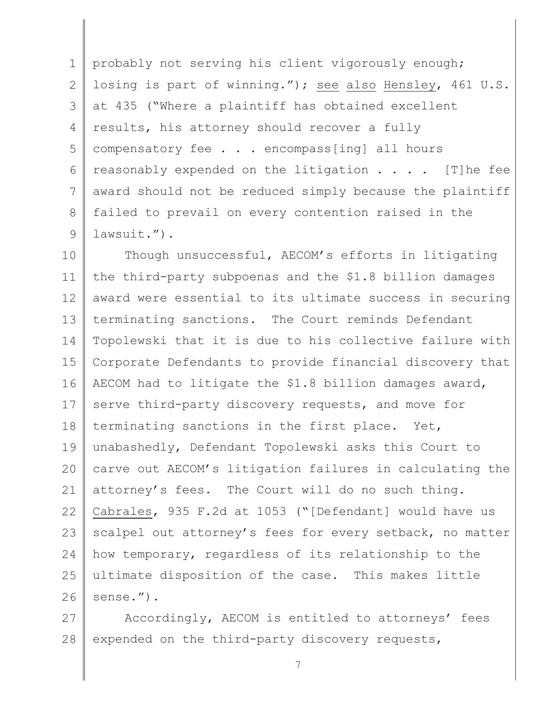1 2 3 4 5 6 7 8 9  $\mathbb{R}$ probably not serving his client vigorously enough; losing is part of winning."); see also Hensley, 461 U.S. at 435 ("Where a plaintiff has obtained excellent results, his attorney should recover a fully compensatory fee . . . encompass[ing] all hours reasonably expended on the litigation . . . . [T]he fee award should not be reduced simply because the plaintiff failed to prevail on every contention raised in the lawsuit.").

10 11 12 13 14 15 16 17 18 19 20 21 22 23 24 25 26 Though unsuccessful, AECOM's efforts in litigating the third-party subpoenas and the \$1.8 billion damages award were essential to its ultimate success in securing terminating sanctions. The Court reminds Defendant Topolewski that it is due to his collective failure with Corporate Defendants to provide financial discovery that AECOM had to litigate the \$1.8 billion damages award, serve third-party discovery requests, and move for terminating sanctions in the first place. Yet, unabashedly, Defendant Topolewski asks this Court to carve out AECOM's litigation failures in calculating the attorney's fees. The Court will do no such thing. Cabrales, 935 F.2d at 1053 ("[Defendant] would have us scalpel out attorney's fees for every setback, no matter how temporary, regardless of its relationship to the ultimate disposition of the case. This makes little sense.").

27 28 Accordingly, AECOM is entitled to attorneys' fees expended on the third-party discovery requests,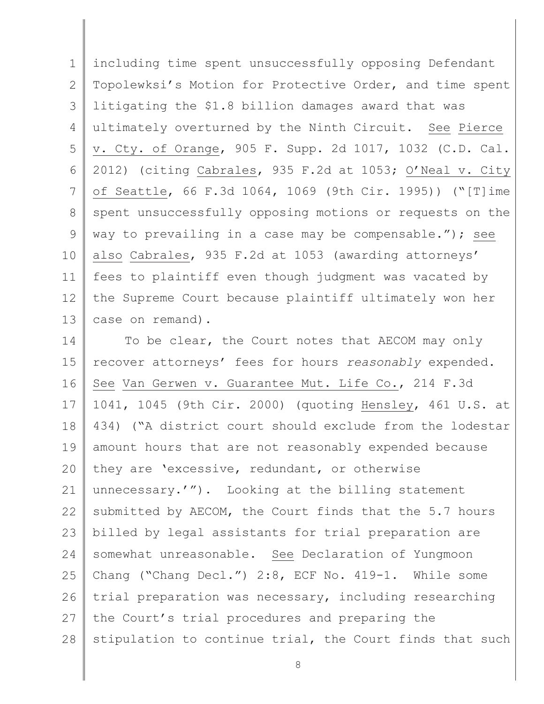1 2 3 4 5 6 7 8 9 10 11 12 13  $\mathbb{R}$ including time spent unsuccessfully opposing Defendant Topolewksi's Motion for Protective Order, and time spent litigating the \$1.8 billion damages award that was ultimately overturned by the Ninth Circuit. See Pierce v. Cty. of Orange, 905 F. Supp. 2d 1017, 1032 (C.D. Cal. 2012) (citing Cabrales, 935 F.2d at 1053; O'Neal v. City of Seattle, 66 F.3d 1064, 1069 (9th Cir. 1995)) ("[T]ime spent unsuccessfully opposing motions or requests on the way to prevailing in a case may be compensable."); see also Cabrales, 935 F.2d at 1053 (awarding attorneys' fees to plaintiff even though judgment was vacated by the Supreme Court because plaintiff ultimately won her case on remand).

14 15 16 17 18 19 20 21 22 23 24 25 26 27 28 To be clear, the Court notes that AECOM may only recover attorneys' fees for hours *reasonably* expended. See Van Gerwen v. Guarantee Mut. Life Co., 214 F.3d 1041, 1045 (9th Cir. 2000) (quoting Hensley, 461 U.S. at 434) ("A district court should exclude from the lodestar amount hours that are not reasonably expended because they are 'excessive, redundant, or otherwise unnecessary.'"). Looking at the billing statement submitted by AECOM, the Court finds that the 5.7 hours billed by legal assistants for trial preparation are somewhat unreasonable. See Declaration of Yungmoon Chang ("Chang Decl.") 2:8, ECF No. 419-1. While some trial preparation was necessary, including researching the Court's trial procedures and preparing the stipulation to continue trial, the Court finds that such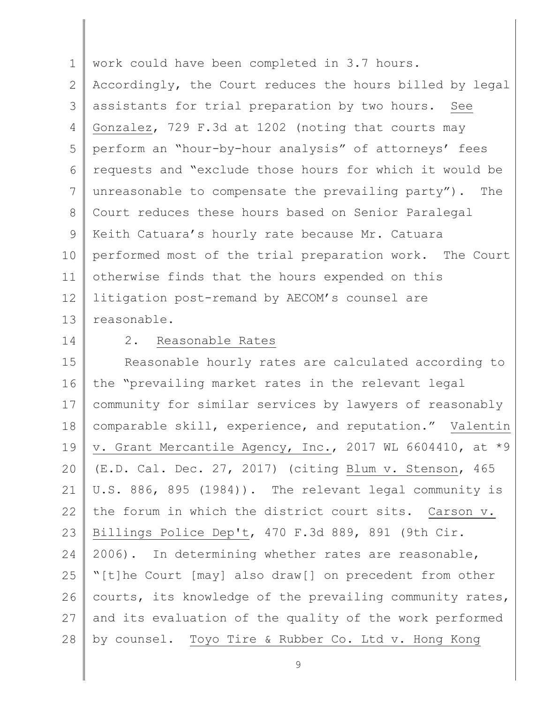1 2 3 4 5 6 7 8 9 10 11 12 13  $\mathbb{R}$ work could have been completed in 3.7 hours. Accordingly, the Court reduces the hours billed by legal assistants for trial preparation by two hours. See Gonzalez, 729 F.3d at 1202 (noting that courts may perform an "hour-by-hour analysis" of attorneys' fees requests and "exclude those hours for which it would be unreasonable to compensate the prevailing party"). The Court reduces these hours based on Senior Paralegal Keith Catuara's hourly rate because Mr. Catuara performed most of the trial preparation work. The Court otherwise finds that the hours expended on this litigation post-remand by AECOM's counsel are reasonable.

14

### 2. Reasonable Rates

15 16 17 18 19 20 21 22 23 24 25 26 27 28 Reasonable hourly rates are calculated according to the "prevailing market rates in the relevant legal community for similar services by lawyers of reasonably comparable skill, experience, and reputation." Valentin v. Grant Mercantile Agency, Inc., 2017 WL 6604410, at \*9 (E.D. Cal. Dec. 27, 2017) (citing Blum v. Stenson, 465 U.S. 886, 895 (1984)). The relevant legal community is the forum in which the district court sits. Carson v. Billings Police Dep't, 470 F.3d 889, 891 (9th Cir. 2006). In determining whether rates are reasonable, "[t]he Court [may] also draw[] on precedent from other courts, its knowledge of the prevailing community rates, and its evaluation of the quality of the work performed by counsel. Toyo Tire & Rubber Co. Ltd v. Hong Kong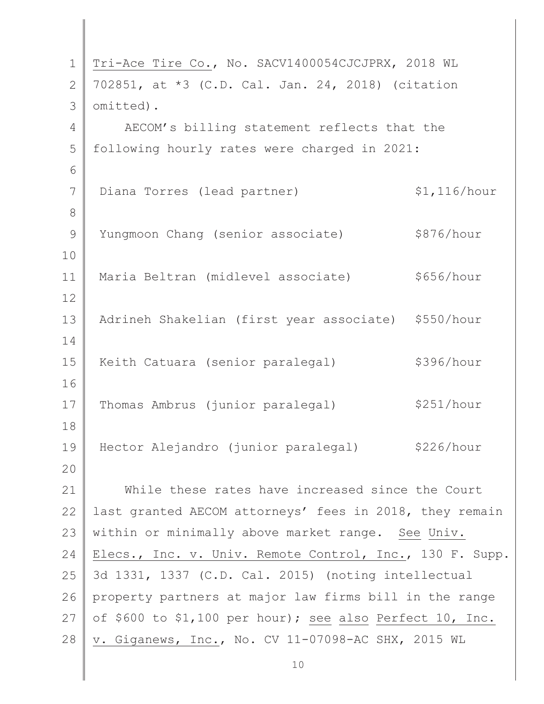| $\mathbf 1$   | Tri-Ace Tire Co., No. SACV1400054CJCJPRX, 2018 WL        |              |  |
|---------------|----------------------------------------------------------|--------------|--|
| $\mathbf{2}$  | 702851, at *3 (C.D. Cal. Jan. 24, 2018) (citation        |              |  |
| 3             | omitted).                                                |              |  |
| 4             | AECOM's billing statement reflects that the              |              |  |
| 5             | following hourly rates were charged in 2021:             |              |  |
| 6             |                                                          |              |  |
| 7             | Diana Torres (lead partner)                              | \$1,116/hour |  |
| 8             |                                                          |              |  |
| $\mathcal{G}$ | Yungmoon Chang (senior associate)                        | \$876/hour   |  |
| $10$          |                                                          |              |  |
| 11            | Maria Beltran (midlevel associate)                       | \$656/hour   |  |
| 12            |                                                          |              |  |
| 13            | Adrineh Shakelian (first year associate) \$550/hour      |              |  |
| 14            |                                                          |              |  |
| 15            | Keith Catuara (senior paralegal)                         | \$396/hour   |  |
| 16            |                                                          |              |  |
| 17            | Thomas Ambrus (junior paralegal)                         | \$251/hour   |  |
| 18            |                                                          |              |  |
| 19            | Hector Alejandro (junior paralegal)                      | \$226/hour   |  |
| 20            |                                                          |              |  |
| 21            | While these rates have increased since the Court         |              |  |
| 22            | last granted AECOM attorneys' fees in 2018, they remain  |              |  |
| 23            | within or minimally above market range. See Univ.        |              |  |
| 24            | Elecs., Inc. v. Univ. Remote Control, Inc., 130 F. Supp. |              |  |
| 25            | 3d 1331, 1337 (C.D. Cal. 2015) (noting intellectual      |              |  |
| 26            | property partners at major law firms bill in the range   |              |  |
| 27            | of \$600 to \$1,100 per hour); see also Perfect 10, Inc. |              |  |
| 28            | v. Giganews, Inc., No. CV 11-07098-AC SHX, 2015 WL       |              |  |
|               |                                                          |              |  |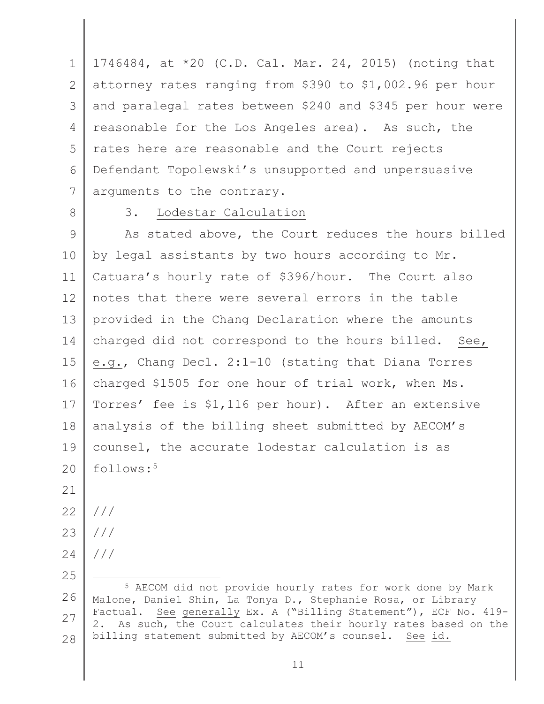1 2 3 4 5 6 7  $\mathbb{R}$ 1746484, at \*20 (C.D. Cal. Mar. 24, 2015) (noting that attorney rates ranging from \$390 to \$1,002.96 per hour and paralegal rates between \$240 and \$345 per hour were reasonable for the Los Angeles area). As such, the rates here are reasonable and the Court rejects Defendant Topolewski's unsupported and unpersuasive arguments to the contrary.

8

# 3. Lodestar Calculation

9 10 11 12 13 14 15 16 17 18 19  $20$ As stated above, the Court reduces the hours billed by legal assistants by two hours according to Mr. Catuara's hourly rate of \$396/hour. The Court also notes that there were several errors in the table provided in the Chang Declaration where the amounts charged did not correspond to the hours billed. See, e.g., Chang Decl. 2:1-10 (stating that Diana Torres charged \$1505 for one hour of trial work, when Ms. Torres' fee is \$1,116 per hour). After an extensive analysis of the billing sheet submitted by AECOM's counsel, the accurate lodestar calculation is as follows:<sup>5</sup>

21

25

- 22
- 23 ///

///

- 24 ///
- 26 27 28 <sup>5</sup> AECOM did not provide hourly rates for work done by Mark Malone, Daniel Shin, La Tonya D., Stephanie Rosa, or Library Factual. See generally Ex. A ("Billing Statement"), ECF No. 419- 2. As such, the Court calculates their hourly rates based on the billing statement submitted by AECOM's counsel. See id.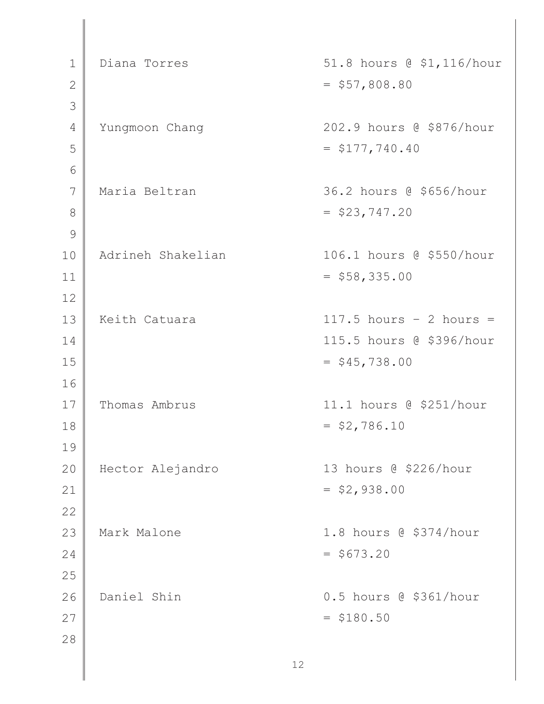| $\mathbf 1$  | Diana Torres      | 51.8 hours @ \$1,116/hour |
|--------------|-------------------|---------------------------|
| $\mathbf{2}$ |                   | $=$ \$57,808.80           |
| 3            |                   |                           |
| 4            | Yungmoon Chang    | 202.9 hours @ \$876/hour  |
| 5            |                   | $=$ \$177,740.40          |
| 6            |                   |                           |
| 7            | Maria Beltran     | 36.2 hours @ \$656/hour   |
| 8            |                   | $=$ \$23,747.20           |
| 9            |                   |                           |
| 10           | Adrineh Shakelian | 106.1 hours @ \$550/hour  |
| 11           |                   | $=$ \$58,335.00           |
| 12           |                   |                           |
| 13           | Keith Catuara     | $117.5$ hours - 2 hours = |
| 14           |                   | 115.5 hours @ \$396/hour  |
| 15           |                   | $=$ \$45,738.00           |
| 16           |                   |                           |
| 17           | Thomas Ambrus     | 11.1 hours @ \$251/hour   |
| 18           |                   | $=$ \$2,786.10            |
| 19           |                   |                           |
| 20           | Hector Alejandro  | 13 hours @ \$226/hour     |
| 21           |                   | $=$ \$2,938.00            |
| 22           |                   |                           |
| 23           | Mark Malone       | 1.8 hours @ \$374/hour    |
| 24           |                   | $= $673.20$               |
| 25           |                   |                           |
| 26           | Daniel Shin       | 0.5 hours @ \$361/hour    |
| 27           |                   | $= $180.50$               |
| 28           |                   |                           |
|              |                   | 12                        |

 $\parallel$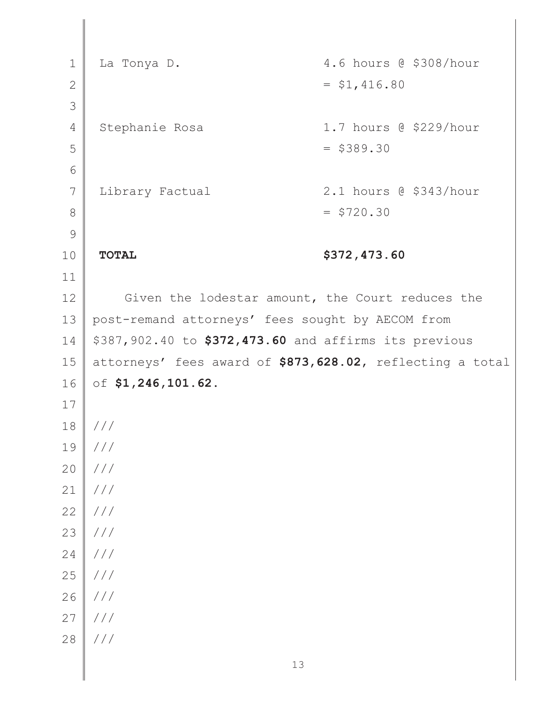1 2 3 4 5 6 7 8 9 10 11 12 13 14 15 16 17 18 19 20 21 22 23 24 25 26 27 28 La Tonya D. (1994) 1.6 hours @ \$308/hour  $=$  \$1,416.80 Stephanie Rosa 1.7 hours @ \$229/hour  $=$  \$389.30 Library Factual 2.1 hours @ \$343/hour  $=$  \$720.30 **TOTAL \$372,473.60**  Given the lodestar amount, the Court reduces the post-remand attorneys' fees sought by AECOM from \$387,902.40 to **\$372,473.60** and affirms its previous attorneys' fees award of **\$873,628.02**, reflecting a total of **\$1,246,101.62**. /// /// /// /// /// /// /// /// /// /// ///